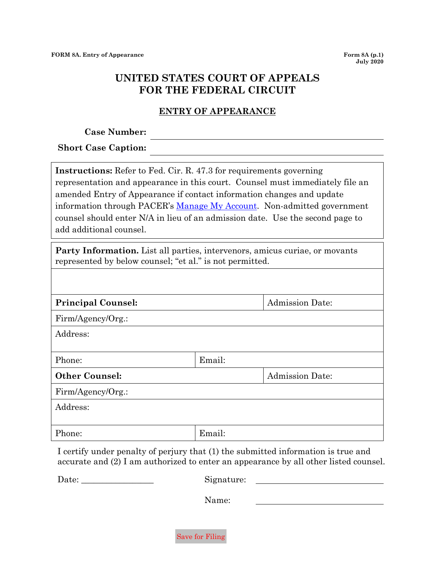## **UNITED STATES COURT OF APPEALS FOR THE FEDERAL CIRCUIT**

## **ENTRY OF APPEARANCE**

**Case Number:**

**Short Case Caption:**

**Instructions:** Refer to Fed. Cir. R. 47.3 for requirements governing representation and appearance in this court. Counsel must immediately file an amended Entry of Appearance if contact information changes and update information through PACER's [Manage My Account.](https://pacer.psc.uscourts.gov/pscof/login.jsf) Non-admitted government counsel should enter N/A in lieu of an admission date. Use the second page to add additional counsel.

**Party Information.** List all parties, intervenors, amicus curiae, or movants represented by below counsel; "et al." is not permitted.

| <b>Principal Counsel:</b> |        | <b>Admission Date:</b> |
|---------------------------|--------|------------------------|
| Firm/Agency/Org.:         |        |                        |
| Address:                  |        |                        |
|                           |        |                        |
| Phone:                    | Email: |                        |
| <b>Other Counsel:</b>     |        | <b>Admission Date:</b> |
| Firm/Agency/Org.:         |        |                        |
| Address:                  |        |                        |
|                           |        |                        |
| Phone:                    | Email: |                        |

I certify under penalty of perjury that (1) the submitted information is true and accurate and (2) I am authorized to enter an appearance by all other listed counsel.

Date: Signature:

Name:

Save for Filing